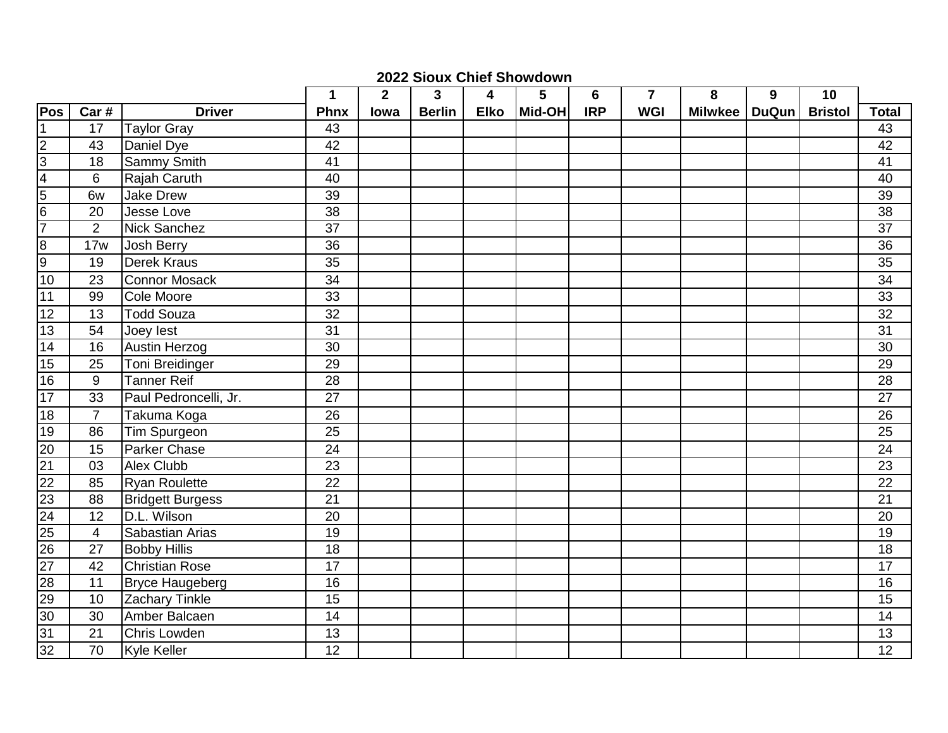## **2022 Sioux Chief Showdown**

|                 |                         |                         | 1               | $\overline{2}$ | $\mathbf{3}$  | 4           | $5\phantom{1}$ | $6\phantom{1}6$ | $\overline{\mathbf{r}}$ | 8               | 9 | 10             |                 |
|-----------------|-------------------------|-------------------------|-----------------|----------------|---------------|-------------|----------------|-----------------|-------------------------|-----------------|---|----------------|-----------------|
| Pos             | Car#                    | <b>Driver</b>           | <b>Phnx</b>     | lowa           | <b>Berlin</b> | <b>Elko</b> | Mid-OH         | <b>IRP</b>      | <b>WGI</b>              | Milwkee   DuQun |   | <b>Bristol</b> | <b>Total</b>    |
| $\mathbf 1$     | 17                      | <b>Taylor Gray</b>      | 43              |                |               |             |                |                 |                         |                 |   |                | 43              |
| M               | 43                      | Daniel Dye              | 42              |                |               |             |                |                 |                         |                 |   |                | 42              |
| $\overline{3}$  | 18                      | <b>Sammy Smith</b>      | 41              |                |               |             |                |                 |                         |                 |   |                | $\overline{41}$ |
| $\overline{4}$  | 6                       | Rajah Caruth            | 40              |                |               |             |                |                 |                         |                 |   |                | 40              |
| 5               | 6w                      | Jake Drew               | 39              |                |               |             |                |                 |                         |                 |   |                | 39              |
| $\frac{6}{7}$   | 20                      | Jesse Love              | $\overline{38}$ |                |               |             |                |                 |                         |                 |   |                | $\overline{38}$ |
|                 | $\overline{2}$          | Nick Sanchez            | $\overline{37}$ |                |               |             |                |                 |                         |                 |   |                | $\overline{37}$ |
| $\overline{8}$  | 17w                     | Josh Berry              | 36              |                |               |             |                |                 |                         |                 |   |                | 36              |
| o               | 19                      | <b>Derek Kraus</b>      | 35              |                |               |             |                |                 |                         |                 |   |                | $\overline{35}$ |
| 10              | 23                      | <b>Connor Mosack</b>    | 34              |                |               |             |                |                 |                         |                 |   |                | 34              |
| 11              | 99                      | Cole Moore              | 33              |                |               |             |                |                 |                         |                 |   |                | $\overline{33}$ |
| 12              | 13                      | <b>Todd Souza</b>       | 32              |                |               |             |                |                 |                         |                 |   |                | 32              |
| 13              | 54                      | Joey lest               | $\overline{31}$ |                |               |             |                |                 |                         |                 |   |                | $\overline{31}$ |
| 14              | 16                      | <b>Austin Herzog</b>    | 30              |                |               |             |                |                 |                         |                 |   |                | $\overline{30}$ |
| 15              | 25                      | Toni Breidinger         | 29              |                |               |             |                |                 |                         |                 |   |                | 29              |
| 16              | 9                       | <b>Tanner Reif</b>      | $\overline{28}$ |                |               |             |                |                 |                         |                 |   |                | $\overline{28}$ |
| $\overline{17}$ | 33                      | Paul Pedroncelli, Jr.   | $\overline{27}$ |                |               |             |                |                 |                         |                 |   |                | $\overline{27}$ |
| $\overline{18}$ | $\overline{7}$          | Takuma Koga             | $\overline{26}$ |                |               |             |                |                 |                         |                 |   |                | $\overline{26}$ |
| 19              | 86                      | Tim Spurgeon            | 25              |                |               |             |                |                 |                         |                 |   |                | 25              |
| 20              | 15                      | Parker Chase            | 24              |                |               |             |                |                 |                         |                 |   |                | 24              |
| $\overline{21}$ | 03                      | <b>Alex Clubb</b>       | 23              |                |               |             |                |                 |                         |                 |   |                | 23              |
| $\overline{22}$ | 85                      | <b>Ryan Roulette</b>    | 22              |                |               |             |                |                 |                         |                 |   |                | 22              |
| $\overline{23}$ | 88                      | <b>Bridgett Burgess</b> | $\overline{21}$ |                |               |             |                |                 |                         |                 |   |                | $\overline{21}$ |
| $\overline{24}$ | 12                      | D.L. Wilson             | 20              |                |               |             |                |                 |                         |                 |   |                | $\overline{20}$ |
| 25              | $\overline{\mathbf{4}}$ | Sabastian Arias         | 19              |                |               |             |                |                 |                         |                 |   |                | 19              |
| $\overline{26}$ | 27                      | <b>Bobby Hillis</b>     | 18              |                |               |             |                |                 |                         |                 |   |                | 18              |
| $\overline{27}$ | 42                      | <b>Christian Rose</b>   | 17              |                |               |             |                |                 |                         |                 |   |                | 17              |
| 28              | 11                      | <b>Bryce Haugeberg</b>  | 16              |                |               |             |                |                 |                         |                 |   |                | 16              |
| 29              | 10                      | <b>Zachary Tinkle</b>   | $\overline{15}$ |                |               |             |                |                 |                         |                 |   |                | $\overline{15}$ |
| 30              | 30                      | Amber Balcaen           | 14              |                |               |             |                |                 |                         |                 |   |                | 14              |
| 31              | 21                      | Chris Lowden            | 13              |                |               |             |                |                 |                         |                 |   |                | 13              |
| 32              | 70                      | <b>Kyle Keller</b>      | 12              |                |               |             |                |                 |                         |                 |   |                | 12              |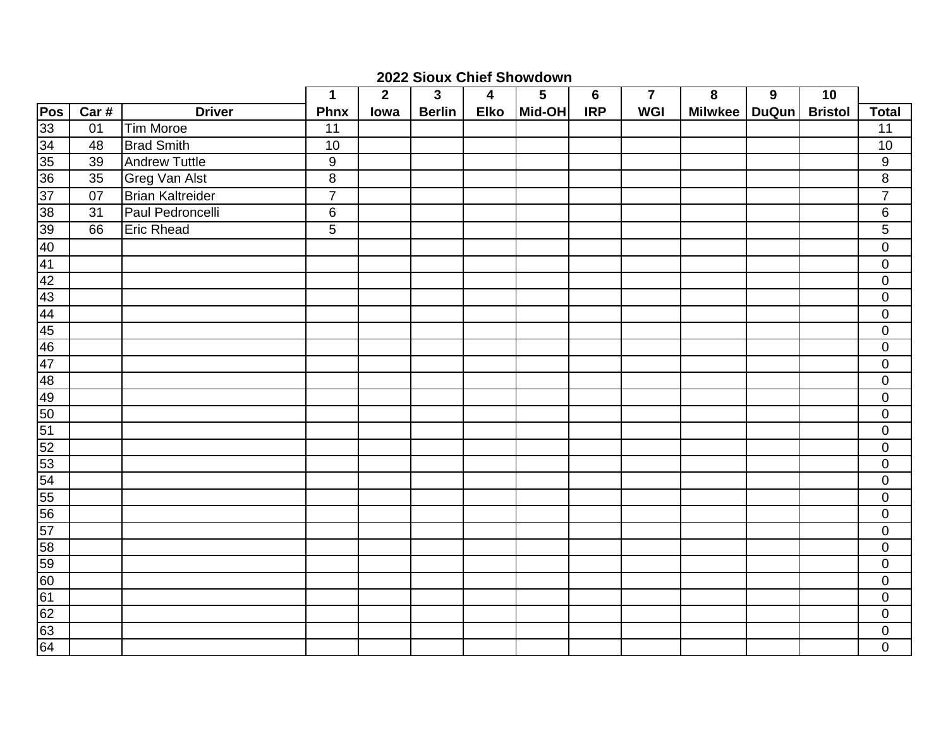## **2022 Sioux Chief Showdown**

|     |      |                         | $\mathbf 1$      | $\overline{2}$ | $\mathbf{3}$  | 4           | $5\phantom{.0}$ | $\bf 6$    | $\overline{7}$ | ${\bf 8}$ | $\boldsymbol{9}$ | 10             |                  |
|-----|------|-------------------------|------------------|----------------|---------------|-------------|-----------------|------------|----------------|-----------|------------------|----------------|------------------|
| Pos | Car# | <b>Driver</b>           | <b>Phnx</b>      | lowa           | <b>Berlin</b> | <b>Elko</b> | Mid-OH          | <b>IRP</b> | <b>WGI</b>     | Milwkee   | <b>DuQun</b>     | <b>Bristol</b> | <b>Total</b>     |
|     | 01   | Tim Moroe               | 11               |                |               |             |                 |            |                |           |                  |                | 11               |
|     | 48   | <b>Brad Smith</b>       | 10               |                |               |             |                 |            |                |           |                  |                | 10               |
|     | 39   | <b>Andrew Tuttle</b>    | $\boldsymbol{9}$ |                |               |             |                 |            |                |           |                  |                | $\boldsymbol{9}$ |
|     | 35   | <b>Greg Van Alst</b>    | $\overline{8}$   |                |               |             |                 |            |                |           |                  |                | $\, 8$           |
|     | 07   | <b>Brian Kaltreider</b> | $\overline{7}$   |                |               |             |                 |            |                |           |                  |                | $\overline{7}$   |
|     | 31   | Paul Pedroncelli        | $\,6\,$          |                |               |             |                 |            |                |           |                  |                | 6                |
|     | 66   | <b>Eric Rhead</b>       | $\overline{5}$   |                |               |             |                 |            |                |           |                  |                | $\sqrt{5}$       |
|     |      |                         |                  |                |               |             |                 |            |                |           |                  |                | $\pmb{0}$        |
|     |      |                         |                  |                |               |             |                 |            |                |           |                  |                | $\mathbf 0$      |
|     |      |                         |                  |                |               |             |                 |            |                |           |                  |                | $\mathbf 0$      |
|     |      |                         |                  |                |               |             |                 |            |                |           |                  |                | $\mathbf 0$      |
|     |      |                         |                  |                |               |             |                 |            |                |           |                  |                | $\pmb{0}$        |
|     |      |                         |                  |                |               |             |                 |            |                |           |                  |                | $\boldsymbol{0}$ |
|     |      |                         |                  |                |               |             |                 |            |                |           |                  |                | $\boldsymbol{0}$ |
|     |      |                         |                  |                |               |             |                 |            |                |           |                  |                | $\pmb{0}$        |
|     |      |                         |                  |                |               |             |                 |            |                |           |                  |                | $\pmb{0}$        |
|     |      |                         |                  |                |               |             |                 |            |                |           |                  |                | $\mathbf 0$      |
|     |      |                         |                  |                |               |             |                 |            |                |           |                  |                | $\mathbf 0$      |
|     |      |                         |                  |                |               |             |                 |            |                |           |                  |                | $\boldsymbol{0}$ |
|     |      |                         |                  |                |               |             |                 |            |                |           |                  |                | $\pmb{0}$        |
|     |      |                         |                  |                |               |             |                 |            |                |           |                  |                | $\pmb{0}$        |
|     |      |                         |                  |                |               |             |                 |            |                |           |                  |                | $\mathbf 0$      |
|     |      |                         |                  |                |               |             |                 |            |                |           |                  |                | $\pmb{0}$        |
|     |      |                         |                  |                |               |             |                 |            |                |           |                  |                | $\pmb{0}$        |
|     |      |                         |                  |                |               |             |                 |            |                |           |                  |                | $\pmb{0}$        |
|     |      |                         |                  |                |               |             |                 |            |                |           |                  |                | $\mathbf 0$      |
|     |      |                         |                  |                |               |             |                 |            |                |           |                  |                | $\mathbf 0$      |
|     |      |                         |                  |                |               |             |                 |            |                |           |                  |                | $\pmb{0}$        |
|     |      |                         |                  |                |               |             |                 |            |                |           |                  |                | $\mathbf 0$      |
|     |      |                         |                  |                |               |             |                 |            |                |           |                  |                | $\boldsymbol{0}$ |
|     |      |                         |                  |                |               |             |                 |            |                |           |                  |                | $\pmb{0}$        |
|     |      |                         |                  |                |               |             |                 |            |                |           |                  |                | $\pmb{0}$        |